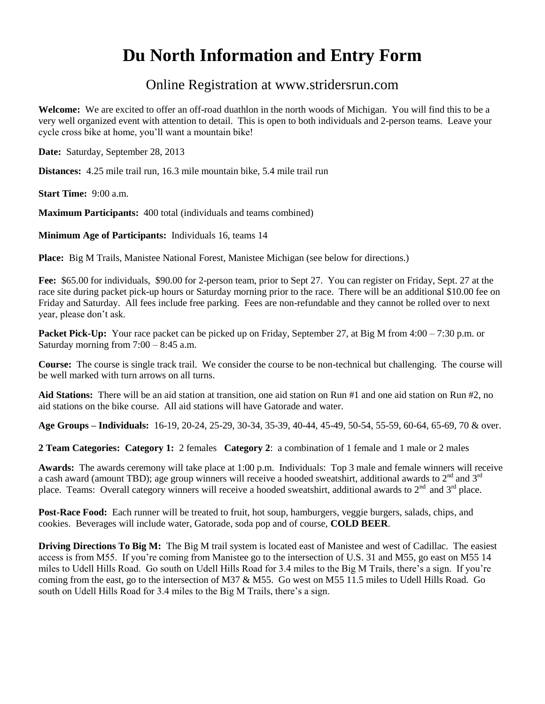## **Du North Information and Entry Form**

## Online Registration at www.stridersrun.com

**Welcome:** We are excited to offer an off-road duathlon in the north woods of Michigan. You will find this to be a very well organized event with attention to detail. This is open to both individuals and 2-person teams. Leave your cycle cross bike at home, you'll want a mountain bike!

**Date:** Saturday, September 28, 2013

**Distances:** 4.25 mile trail run, 16.3 mile mountain bike, 5.4 mile trail run

**Start Time:** 9:00 a.m.

**Maximum Participants:** 400 total (individuals and teams combined)

**Minimum Age of Participants:** Individuals 16, teams 14

**Place:** Big M Trails, Manistee National Forest, Manistee Michigan (see below for directions.)

**Fee:** \$65.00 for individuals, \$90.00 for 2-person team, prior to Sept 27. You can register on Friday, Sept. 27 at the race site during packet pick-up hours or Saturday morning prior to the race. There will be an additional \$10.00 fee on Friday and Saturday. All fees include free parking. Fees are non-refundable and they cannot be rolled over to next year, please don't ask.

**Packet Pick-Up:** Your race packet can be picked up on Friday, September 27, at Big M from 4:00 – 7:30 p.m. or Saturday morning from  $7:00 - 8:45$  a.m.

**Course:** The course is single track trail. We consider the course to be non-technical but challenging. The course will be well marked with turn arrows on all turns.

**Aid Stations:** There will be an aid station at transition, one aid station on Run #1 and one aid station on Run #2, no aid stations on the bike course. All aid stations will have Gatorade and water.

**Age Groups – Individuals:** 16-19, 20-24, 25-29, 30-34, 35-39, 40-44, 45-49, 50-54, 55-59, 60-64, 65-69, 70 & over.

**2 Team Categories: Category 1:** 2 females **Category 2**: a combination of 1 female and 1 male or 2 males

**Awards:** The awards ceremony will take place at 1:00 p.m. Individuals: Top 3 male and female winners will receive a cash award (amount TBD); age group winners will receive a hooded sweatshirt, additional awards to  $2<sup>nd</sup>$  and  $3<sup>rd</sup>$ place. Teams: Overall category winners will receive a hooded sweatshirt, additional awards to  $2<sup>nd</sup>$  and  $3<sup>rd</sup>$  place.

**Post-Race Food:** Each runner will be treated to fruit, hot soup, hamburgers, veggie burgers, salads, chips, and cookies. Beverages will include water, Gatorade, soda pop and of course, **COLD BEER**.

**Driving Directions To Big M:** The Big M trail system is located east of Manistee and west of Cadillac. The easiest access is from M55. If you're coming from Manistee go to the intersection of U.S. 31 and M55, go east on M55 14 miles to Udell Hills Road. Go south on Udell Hills Road for 3.4 miles to the Big M Trails, there's a sign. If you're coming from the east, go to the intersection of M37 & M55. Go west on M55 11.5 miles to Udell Hills Road. Go south on Udell Hills Road for 3.4 miles to the Big M Trails, there's a sign.